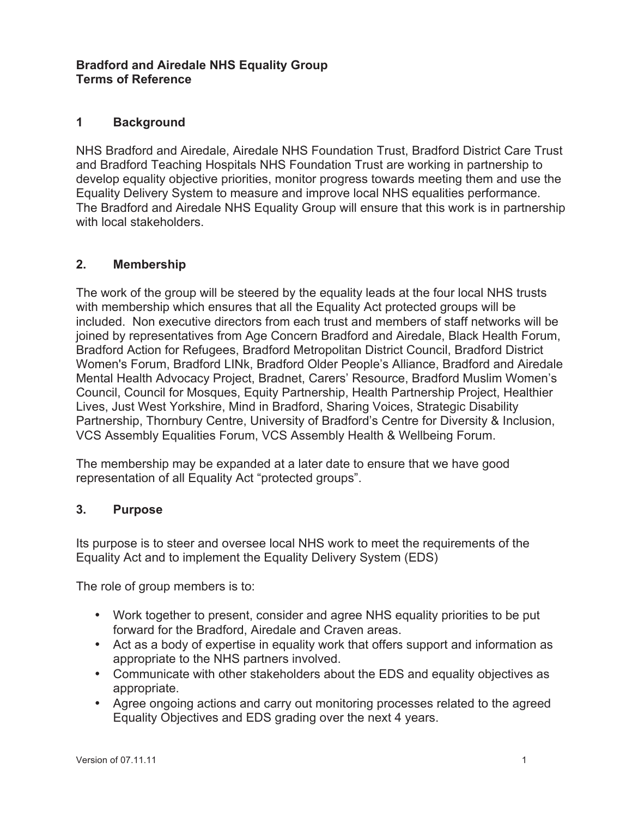### **Bradford and Airedale NHS Equality Group Terms of Reference**

### **1 Background**

NHS Bradford and Airedale, Airedale NHS Foundation Trust, Bradford District Care Trust and Bradford Teaching Hospitals NHS Foundation Trust are working in partnership to develop equality objective priorities, monitor progress towards meeting them and use the Equality Delivery System to measure and improve local NHS equalities performance. The Bradford and Airedale NHS Equality Group will ensure that this work is in partnership with local stakeholders.

#### **2. Membership**

The work of the group will be steered by the equality leads at the four local NHS trusts with membership which ensures that all the Equality Act protected groups will be included. Non executive directors from each trust and members of staff networks will be joined by representatives from Age Concern Bradford and Airedale, Black Health Forum, Bradford Action for Refugees, Bradford Metropolitan District Council, Bradford District Women's Forum, Bradford LINk, Bradford Older People's Alliance, Bradford and Airedale Mental Health Advocacy Project, Bradnet, Carers' Resource, Bradford Muslim Women's Council, Council for Mosques, Equity Partnership, Health Partnership Project, Healthier Lives, Just West Yorkshire, Mind in Bradford, Sharing Voices, Strategic Disability Partnership, Thornbury Centre, University of Bradford's Centre for Diversity & Inclusion, VCS Assembly Equalities Forum, VCS Assembly Health & Wellbeing Forum.

The membership may be expanded at a later date to ensure that we have good representation of all Equality Act "protected groups".

#### **3. Purpose**

Its purpose is to steer and oversee local NHS work to meet the requirements of the Equality Act and to implement the Equality Delivery System (EDS)

The role of group members is to:

- Work together to present, consider and agree NHS equality priorities to be put forward for the Bradford, Airedale and Craven areas.
- Act as a body of expertise in equality work that offers support and information as appropriate to the NHS partners involved.
- Communicate with other stakeholders about the EDS and equality objectives as appropriate.
- Agree ongoing actions and carry out monitoring processes related to the agreed Equality Objectives and EDS grading over the next 4 years.